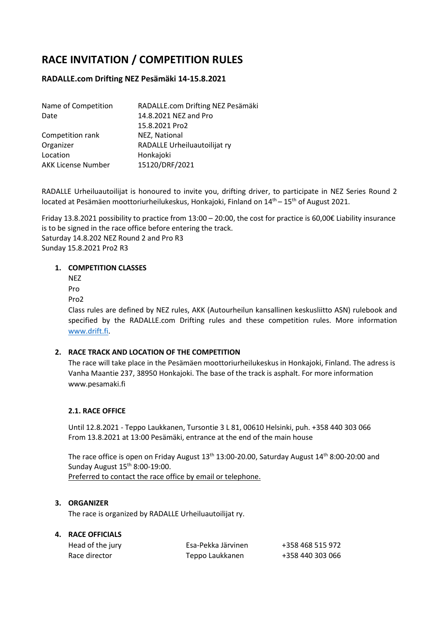# RACE INVITATION / COMPETITION RULES

# RADALLE.com Drifting NEZ Pesämäki 14-15.8.2021

| Name of Competition       | RADALLE.com Drifting NEZ Pesämäki |
|---------------------------|-----------------------------------|
| Date                      | 14.8.2021 NEZ and Pro             |
|                           | 15.8.2021 Pro2                    |
| Competition rank          | NEZ, National                     |
| Organizer                 | RADALLE Urheiluautoilijat ry      |
| Location                  | Honkajoki                         |
| <b>AKK License Number</b> | 15120/DRF/2021                    |

RADALLE Urheiluautoilijat is honoured to invite you, drifting driver, to participate in NEZ Series Round 2 located at Pesämäen moottoriurheilukeskus, Honkajoki, Finland on  $14<sup>th</sup> - 15<sup>th</sup>$  of August 2021.

Friday 13.8.2021 possibility to practice from 13:00 – 20:00, the cost for practice is 60,00€ Liability insurance is to be signed in the race office before entering the track. Saturday 14.8.202 NEZ Round 2 and Pro R3 Sunday 15.8.2021 Pro2 R3

#### 1. COMPETITION CLASSES

NEZ

- Pro
- Pro2

Class rules are defined by NEZ rules, AKK (Autourheilun kansallinen keskusliitto ASN) rulebook and specified by the RADALLE.com Drifting rules and these competition rules. More information www.drift.fi.

## 2. RACE TRACK AND LOCATION OF THE COMPETITION

The race will take place in the Pesämäen moottoriurheilukeskus in Honkajoki, Finland. The adress is Vanha Maantie 237, 38950 Honkajoki. The base of the track is asphalt. For more information www.pesamaki.fi

## 2.1. RACE OFFICE

Until 12.8.2021 - Teppo Laukkanen, Tursontie 3 L 81, 00610 Helsinki, puh. +358 440 303 066 From 13.8.2021 at 13:00 Pesämäki, entrance at the end of the main house

The race office is open on Friday August 13<sup>th</sup> 13:00-20.00, Saturday August 14<sup>th</sup> 8:00-20:00 and Sunday August 15<sup>th</sup> 8:00-19:00. Preferred to contact the race office by email or telephone.

## 3. ORGANIZER

The race is organized by RADALLE Urheiluautoilijat ry.

# 4. RACE OFFICIALS

| Head of the jury | Esa-Pekka Järvinen | +358 468 515 972 |
|------------------|--------------------|------------------|
| Race director    | Teppo Laukkanen    | +358 440 303 066 |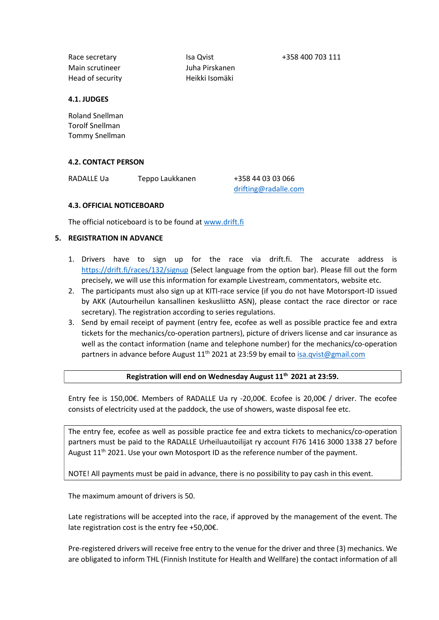Race secretary Isa Qvist +358 400 703 111 Main scrutineer Juha Pirskanen Head of security Heikki Isomäki

#### 4.1. JUDGES

Roland Snellman Torolf Snellman Tommy Snellman

#### 4.2. CONTACT PERSON

RADALLE Ua Teppo Laukkanen +358 44 03 03 066

drifting@radalle.com

#### 4.3. OFFICIAL NOTICEBOARD

The official noticeboard is to be found at www.drift.fi

#### 5. REGISTRATION IN ADVANCE

- 1. Drivers have to sign up for the race via drift.fi. The accurate address is https://drift.fi/races/132/signup (Select language from the option bar). Please fill out the form precisely, we will use this information for example Livestream, commentators, website etc.
- 2. The participants must also sign up at KITI-race service (if you do not have Motorsport-ID issued by AKK (Autourheilun kansallinen keskusliitto ASN), please contact the race director or race secretary). The registration according to series regulations.
- 3. Send by email receipt of payment (entry fee, ecofee as well as possible practice fee and extra tickets for the mechanics/co-operation partners), picture of drivers license and car insurance as well as the contact information (name and telephone number) for the mechanics/co-operation partners in advance before August  $11<sup>th</sup>$  2021 at 23:59 by email to isa.qvist@gmail.com

#### Registration will end on Wednesday August 11<sup>th</sup> 2021 at 23:59.

Entry fee is 150,00€. Members of RADALLE Ua ry -20,00€. Ecofee is 20,00€ / driver. The ecofee consists of electricity used at the paddock, the use of showers, waste disposal fee etc.

The entry fee, ecofee as well as possible practice fee and extra tickets to mechanics/co-operation partners must be paid to the RADALLE Urheiluautoilijat ry account FI76 1416 3000 1338 27 before August  $11<sup>th</sup>$  2021. Use your own Motosport ID as the reference number of the payment.

NOTE! All payments must be paid in advance, there is no possibility to pay cash in this event.

The maximum amount of drivers is 50.

Late registrations will be accepted into the race, if approved by the management of the event. The late registration cost is the entry fee +50,00€.

Pre-registered drivers will receive free entry to the venue for the driver and three (3) mechanics. We are obligated to inform THL (Finnish Institute for Health and Wellfare) the contact information of all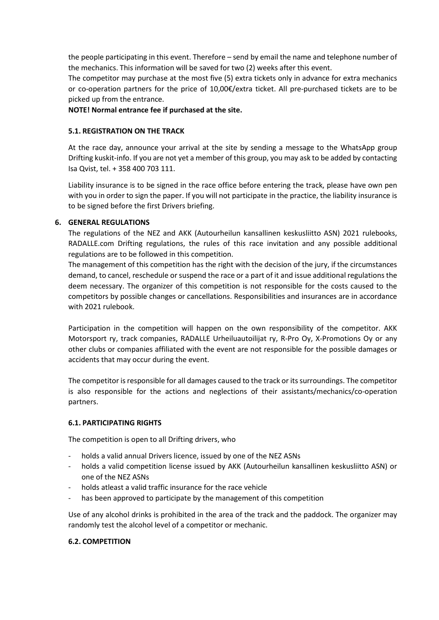the people participating in this event. Therefore – send by email the name and telephone number of the mechanics. This information will be saved for two (2) weeks after this event.

The competitor may purchase at the most five (5) extra tickets only in advance for extra mechanics or co-operation partners for the price of 10,00€/extra ticket. All pre-purchased tickets are to be picked up from the entrance.

NOTE! Normal entrance fee if purchased at the site.

#### 5.1. REGISTRATION ON THE TRACK

At the race day, announce your arrival at the site by sending a message to the WhatsApp group Drifting kuskit-info. If you are not yet a member of this group, you may ask to be added by contacting Isa Qvist, tel. + 358 400 703 111.

Liability insurance is to be signed in the race office before entering the track, please have own pen with you in order to sign the paper. If you will not participate in the practice, the liability insurance is to be signed before the first Drivers briefing.

#### 6. GENERAL REGULATIONS

The regulations of the NEZ and AKK (Autourheilun kansallinen keskusliitto ASN) 2021 rulebooks, RADALLE.com Drifting regulations, the rules of this race invitation and any possible additional regulations are to be followed in this competition.

The management of this competition has the right with the decision of the jury, if the circumstances demand, to cancel, reschedule or suspend the race or a part of it and issue additional regulations the deem necessary. The organizer of this competition is not responsible for the costs caused to the competitors by possible changes or cancellations. Responsibilities and insurances are in accordance with 2021 rulebook.

Participation in the competition will happen on the own responsibility of the competitor. AKK Motorsport ry, track companies, RADALLE Urheiluautoilijat ry, R-Pro Oy, X-Promotions Oy or any other clubs or companies affiliated with the event are not responsible for the possible damages or accidents that may occur during the event.

The competitor is responsible for all damages caused to the track or its surroundings. The competitor is also responsible for the actions and neglections of their assistants/mechanics/co-operation partners.

## 6.1. PARTICIPATING RIGHTS

The competition is open to all Drifting drivers, who

- holds a valid annual Drivers licence, issued by one of the NEZ ASNs
- holds a valid competition license issued by AKK (Autourheilun kansallinen keskusliitto ASN) or one of the NEZ ASNs
- holds atleast a valid traffic insurance for the race vehicle
- has been approved to participate by the management of this competition

Use of any alcohol drinks is prohibited in the area of the track and the paddock. The organizer may randomly test the alcohol level of a competitor or mechanic.

#### 6.2. COMPETITION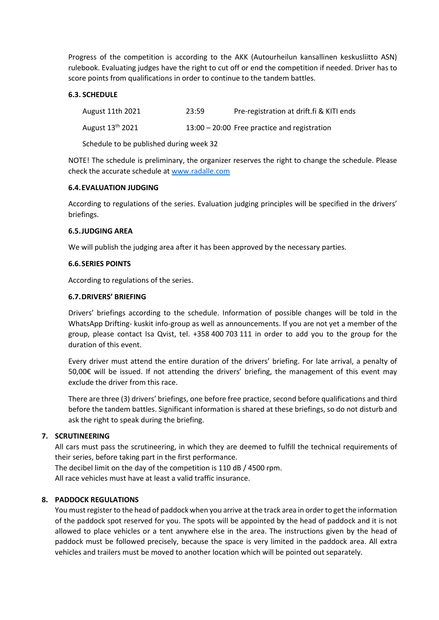Progress of the competition is according to the AKK (Autourheilun kansallinen keskusliitto ASN) rulebook. Evaluating judges have the right to cut off or end the competition if needed. Driver has to score points from qualifications in order to continue to the tandem battles.

#### 6.3. SCHEDULE

| August 11th 2021             | 23:59 | Pre-registration at drift.fi & KITI ends       |
|------------------------------|-------|------------------------------------------------|
| August 13 <sup>th</sup> 2021 |       | $13:00 - 20:00$ Free practice and registration |

Schedule to be published during week 32

NOTE! The schedule is preliminary, the organizer reserves the right to change the schedule. Please check the accurate schedule at www.radalle.com

#### 6.4.EVALUATION JUDGING

According to regulations of the series. Evaluation judging principles will be specified in the drivers' briefings.

#### 6.5.JUDGING AREA

We will publish the judging area after it has been approved by the necessary parties.

#### 6.6.SERIES POINTS

According to regulations of the series.

#### 6.7.DRIVERS' BRIEFING

Drivers' briefings according to the schedule. Information of possible changes will be told in the WhatsApp Drifting- kuskit info-group as well as announcements. If you are not yet a member of the group, please contact Isa Qvist, tel. +358 400 703 111 in order to add you to the group for the duration of this event.

Every driver must attend the entire duration of the drivers' briefing. For late arrival, a penalty of 50,00€ will be issued. If not attending the drivers' briefing, the management of this event may exclude the driver from this race.

There are three (3) drivers' briefings, one before free practice, second before qualifications and third before the tandem battles. Significant information is shared at these briefings, so do not disturb and ask the right to speak during the briefing.

## 7. SCRUTINEERING

All cars must pass the scrutineering, in which they are deemed to fulfill the technical requirements of their series, before taking part in the first performance.

The decibel limit on the day of the competition is 110 dB / 4500 rpm. All race vehicles must have at least a valid traffic insurance.

## 8. PADDOCK REGULATIONS

You must register to the head of paddock when you arrive at the track area in order to get the information of the paddock spot reserved for you. The spots will be appointed by the head of paddock and it is not allowed to place vehicles or a tent anywhere else in the area. The instructions given by the head of paddock must be followed precisely, because the space is very limited in the paddock area. All extra vehicles and trailers must be moved to another location which will be pointed out separately.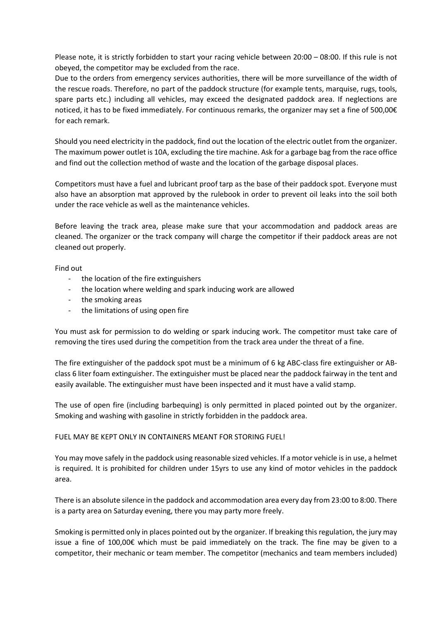Please note, it is strictly forbidden to start your racing vehicle between 20:00 – 08:00. If this rule is not obeyed, the competitor may be excluded from the race.

Due to the orders from emergency services authorities, there will be more surveillance of the width of the rescue roads. Therefore, no part of the paddock structure (for example tents, marquise, rugs, tools, spare parts etc.) including all vehicles, may exceed the designated paddock area. If neglections are noticed, it has to be fixed immediately. For continuous remarks, the organizer may set a fine of 500,00€ for each remark.

Should you need electricity in the paddock, find out the location of the electric outlet from the organizer. The maximum power outlet is 10A, excluding the tire machine. Ask for a garbage bag from the race office and find out the collection method of waste and the location of the garbage disposal places.

Competitors must have a fuel and lubricant proof tarp as the base of their paddock spot. Everyone must also have an absorption mat approved by the rulebook in order to prevent oil leaks into the soil both under the race vehicle as well as the maintenance vehicles.

Before leaving the track area, please make sure that your accommodation and paddock areas are cleaned. The organizer or the track company will charge the competitor if their paddock areas are not cleaned out properly.

Find out

- the location of the fire extinguishers
- the location where welding and spark inducing work are allowed
- the smoking areas
- the limitations of using open fire

You must ask for permission to do welding or spark inducing work. The competitor must take care of removing the tires used during the competition from the track area under the threat of a fine.

The fire extinguisher of the paddock spot must be a minimum of 6 kg ABC-class fire extinguisher or ABclass 6 liter foam extinguisher. The extinguisher must be placed near the paddock fairway in the tent and easily available. The extinguisher must have been inspected and it must have a valid stamp.

The use of open fire (including barbequing) is only permitted in placed pointed out by the organizer. Smoking and washing with gasoline in strictly forbidden in the paddock area.

## FUEL MAY BE KEPT ONLY IN CONTAINERS MEANT FOR STORING FUEL!

You may move safely in the paddock using reasonable sized vehicles. If a motor vehicle is in use, a helmet is required. It is prohibited for children under 15yrs to use any kind of motor vehicles in the paddock area.

There is an absolute silence in the paddock and accommodation area every day from 23:00 to 8:00. There is a party area on Saturday evening, there you may party more freely.

Smoking is permitted only in places pointed out by the organizer. If breaking this regulation, the jury may issue a fine of 100,00€ which must be paid immediately on the track. The fine may be given to a competitor, their mechanic or team member. The competitor (mechanics and team members included)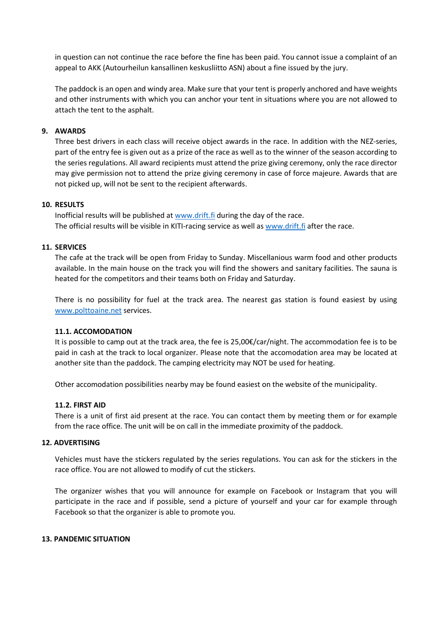in question can not continue the race before the fine has been paid. You cannot issue a complaint of an appeal to AKK (Autourheilun kansallinen keskusliitto ASN) about a fine issued by the jury.

The paddock is an open and windy area. Make sure that your tent is properly anchored and have weights and other instruments with which you can anchor your tent in situations where you are not allowed to attach the tent to the asphalt.

#### 9. AWARDS

Three best drivers in each class will receive object awards in the race. In addition with the NEZ-series, part of the entry fee is given out as a prize of the race as well as to the winner of the season according to the series regulations. All award recipients must attend the prize giving ceremony, only the race director may give permission not to attend the prize giving ceremony in case of force majeure. Awards that are not picked up, will not be sent to the recipient afterwards.

#### 10. RESULTS

Inofficial results will be published at www.drift.fi during the day of the race. The official results will be visible in KITI-racing service as well as www.drift.fi after the race.

#### 11. SERVICES

The cafe at the track will be open from Friday to Sunday. Miscellanious warm food and other products available. In the main house on the track you will find the showers and sanitary facilities. The sauna is heated for the competitors and their teams both on Friday and Saturday.

There is no possibility for fuel at the track area. The nearest gas station is found easiest by using www.polttoaine.net services.

#### 11.1. ACCOMODATION

It is possible to camp out at the track area, the fee is 25,00€/car/night. The accommodation fee is to be paid in cash at the track to local organizer. Please note that the accomodation area may be located at another site than the paddock. The camping electricity may NOT be used for heating.

Other accomodation possibilities nearby may be found easiest on the website of the municipality.

#### 11.2. FIRST AID

There is a unit of first aid present at the race. You can contact them by meeting them or for example from the race office. The unit will be on call in the immediate proximity of the paddock.

#### 12. ADVERTISING

Vehicles must have the stickers regulated by the series regulations. You can ask for the stickers in the race office. You are not allowed to modify of cut the stickers.

The organizer wishes that you will announce for example on Facebook or Instagram that you will participate in the race and if possible, send a picture of yourself and your car for example through Facebook so that the organizer is able to promote you.

#### 13. PANDEMIC SITUATION